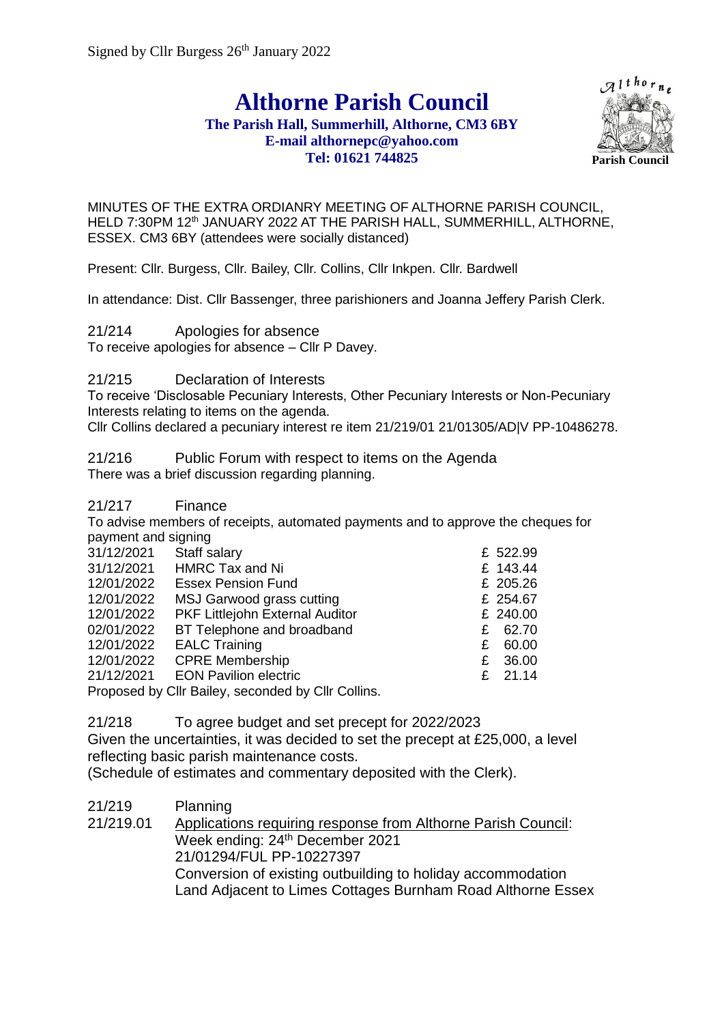**Althorne Parish Council**

## **The Parish Hall, Summerhill, Althorne, CM3 6BY E-mail althornepc@yahoo.com Tel: 01621 744825**



MINUTES OF THE EXTRA ORDIANRY MEETING OF ALTHORNE PARISH COUNCIL, HELD 7:30PM 12<sup>th</sup> JANUARY 2022 AT THE PARISH HALL, SUMMERHILL, ALTHORNE, ESSEX. CM3 6BY (attendees were socially distanced)

Present: Cllr. Burgess, Cllr. Bailey, Cllr. Collins, Cllr Inkpen. Cllr. Bardwell

In attendance: Dist. Cllr Bassenger, three parishioners and Joanna Jeffery Parish Clerk.

21/214 Apologies for absence

To receive apologies for absence – Cllr P Davey.

21/215 Declaration of Interests

To receive 'Disclosable Pecuniary Interests, Other Pecuniary Interests or Non-Pecuniary Interests relating to items on the agenda.

Cllr Collins declared a pecuniary interest re item 21/219/01 21/01305/AD|V PP-10486278.

21/216 Public Forum with respect to items on the Agenda There was a brief discussion regarding planning.

21/217 Finance

To advise members of receipts, automated payments and to approve the cheques for payment and signing

| 31/12/2021                                               | Staff salary                    |    | £ 522.99  |
|----------------------------------------------------------|---------------------------------|----|-----------|
| 31/12/2021                                               | <b>HMRC Tax and Ni</b>          |    | £ 143.44  |
| 12/01/2022                                               | <b>Essex Pension Fund</b>       |    | £ 205.26  |
| 12/01/2022                                               | MSJ Garwood grass cutting       |    | £ 254.67  |
| 12/01/2022                                               | PKF Littlejohn External Auditor |    | £ 240.00  |
| 02/01/2022                                               | BT Telephone and broadband      |    | £ 62.70   |
| 12/01/2022                                               | <b>EALC Training</b>            | £. | 60.00     |
| 12/01/2022                                               | <b>CPRE Membership</b>          |    | £ 36.00   |
| 21/12/2021                                               | <b>EON Pavilion electric</b>    |    | £ $21.14$ |
| <b>Proposed by Cllr Railey, seconded by Cllr Collins</b> |                                 |    |           |

Proposed by Cllr Bailey, seconded by Cllr Collins.

21/218 To agree budget and set precept for 2022/2023

Given the uncertainties, it was decided to set the precept at £25,000, a level reflecting basic parish maintenance costs.

(Schedule of estimates and commentary deposited with the Clerk).

21/219 Planning 21/219.01 Applications requiring response from Althorne Parish Council: Week ending: 24<sup>th</sup> December 2021 21/01294/FUL PP-10227397 Conversion of existing outbuilding to holiday accommodation Land Adjacent to Limes Cottages Burnham Road Althorne Essex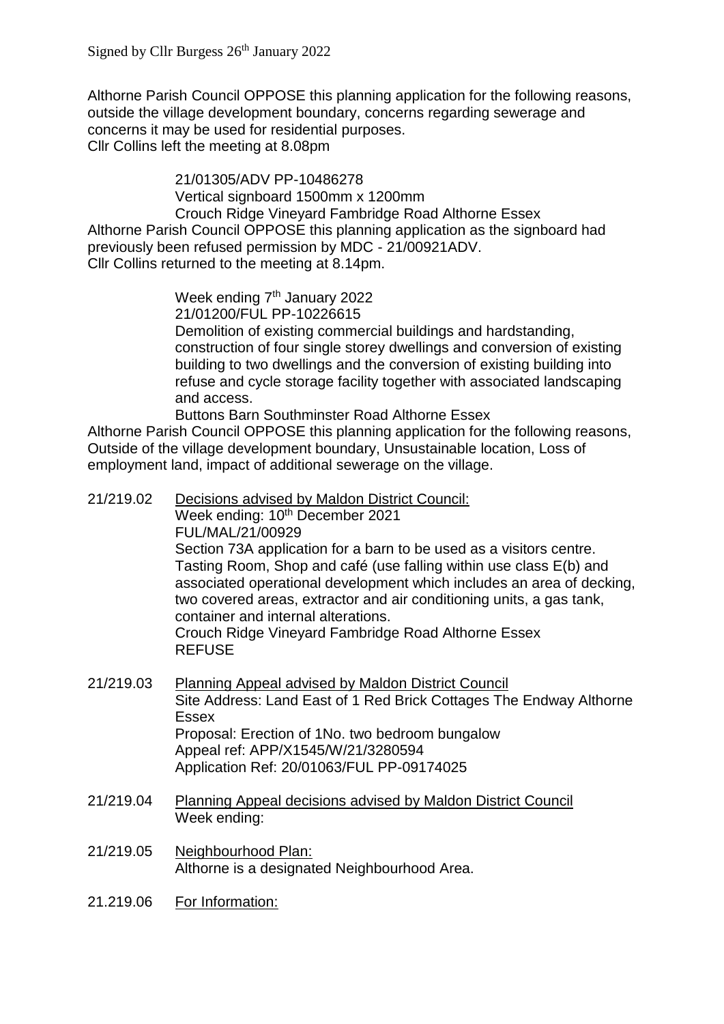Althorne Parish Council OPPOSE this planning application for the following reasons, outside the village development boundary, concerns regarding sewerage and concerns it may be used for residential purposes. Cllr Collins left the meeting at 8.08pm

21/01305/ADV PP-10486278 Vertical signboard 1500mm x 1200mm Crouch Ridge Vineyard Fambridge Road Althorne Essex Althorne Parish Council OPPOSE this planning application as the signboard had previously been refused permission by MDC - 21/00921ADV. Cllr Collins returned to the meeting at 8.14pm.

> Week ending 7<sup>th</sup> January 2022 21/01200/FUL PP-10226615 Demolition of existing commercial buildings and hardstanding, construction of four single storey dwellings and conversion of existing building to two dwellings and the conversion of existing building into refuse and cycle storage facility together with associated landscaping and access.

Buttons Barn Southminster Road Althorne Essex Althorne Parish Council OPPOSE this planning application for the following reasons, Outside of the village development boundary, Unsustainable location, Loss of employment land, impact of additional sewerage on the village.

- 21/219.02 Decisions advised by Maldon District Council: Week ending: 10<sup>th</sup> December 2021 FUL/MAL/21/00929 Section 73A application for a barn to be used as a visitors centre. Tasting Room, Shop and café (use falling within use class E(b) and associated operational development which includes an area of decking, two covered areas, extractor and air conditioning units, a gas tank, container and internal alterations. Crouch Ridge Vineyard Fambridge Road Althorne Essex REFUSE
- 21/219.03 Planning Appeal advised by Maldon District Council Site Address: Land East of 1 Red Brick Cottages The Endway Althorne Essex Proposal: Erection of 1No. two bedroom bungalow Appeal ref: APP/X1545/W/21/3280594 Application Ref: 20/01063/FUL PP-09174025
- 21/219.04 Planning Appeal decisions advised by Maldon District Council Week ending:
- 21/219.05 Neighbourhood Plan: Althorne is a designated Neighbourhood Area.
- 21.219.06 For Information: